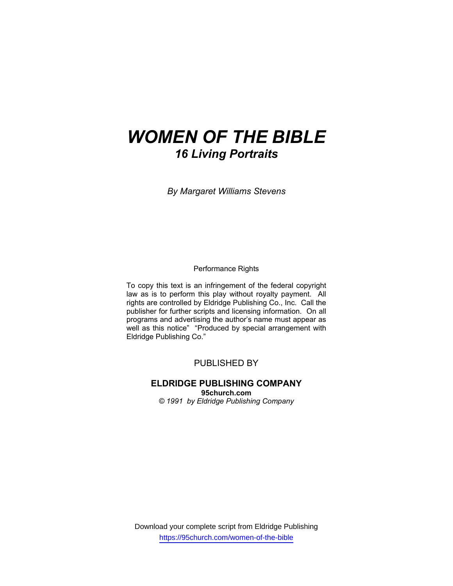# *WOMEN OF THE BIBLE 16 Living Portraits*

*By Margaret Williams Stevens* 

Performance Rights

To copy this text is an infringement of the federal copyright law as is to perform this play without royalty payment. All rights are controlled by Eldridge Publishing Co., Inc. Call the publisher for further scripts and licensing information. On all programs and advertising the author's name must appear as well as this notice" "Produced by special arrangement with Eldridge Publishing Co."

## PUBLISHED BY

## **ELDRIDGE PUBLISHING COMPANY 95church.com**

*© 1991 by Eldridge Publishing Company* 

Download your complete script from Eldridge Publishing https://95church.com/women-of-the-bible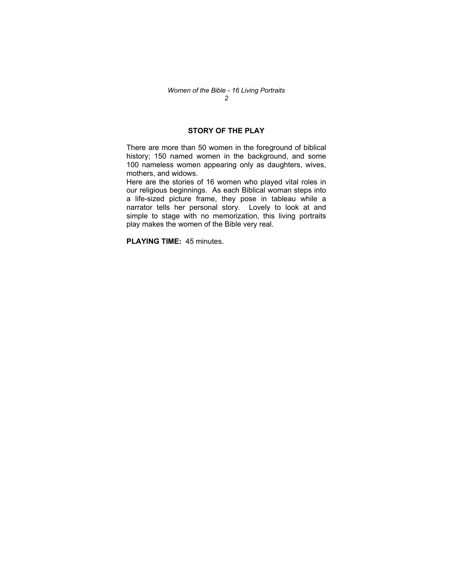## **STORY OF THE PLAY**

There are more than 50 women in the foreground of biblical history; 150 named women in the background, and some 100 nameless women appearing only as daughters, wives, mothers, and widows.

Here are the stories of 16 women who played vital roles in our religious beginnings. As each Biblical woman steps into a life-sized picture frame, they pose in tableau while a narrator tells her personal story. Lovely to look at and simple to stage with no memorization, this living portraits play makes the women of the Bible very real.

**PLAYING TIME:** 45 minutes.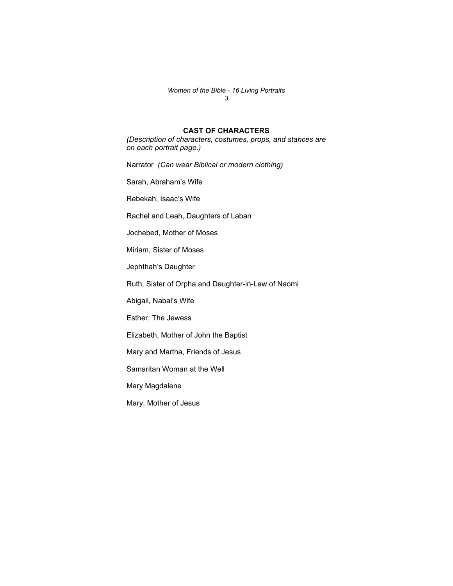#### *Women of the Bible - 16 Living Portraits 3*

## **CAST OF CHARACTERS**

*(Description of characters, costumes, props, and stances are on each portrait page.)* 

Narrator *(Can wear Biblical or modern clothing)* 

Sarah, Abraham's Wife

Rebekah, Isaac's Wife

Rachel and Leah, Daughters of Laban

Jochebed, Mother of Moses

Miriam, Sister of Moses

Jephthah's Daughter

Ruth, Sister of Orpha and Daughter-in-Law of Naomi

Abigail, Nabal's Wife

Esther, The Jewess

Elizabeth, Mother of John the Baptist

Mary and Martha, Friends of Jesus

Samaritan Woman at the Well

Mary Magdalene

Mary, Mother of Jesus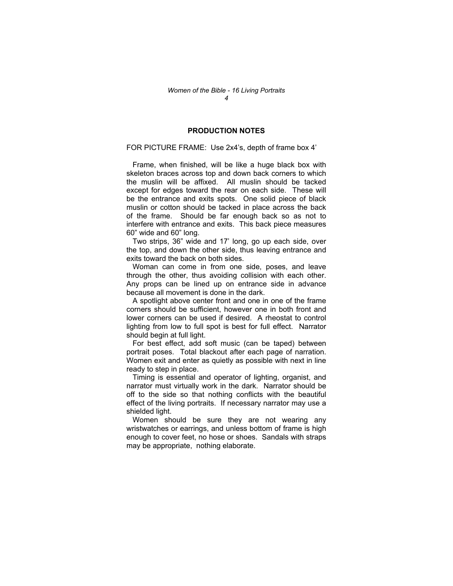### **PRODUCTION NOTES**

#### FOR PICTURE FRAME: Use 2x4's, depth of frame box 4'

 Frame, when finished, will be like a huge black box with skeleton braces across top and down back corners to which the muslin will be affixed. All muslin should be tacked except for edges toward the rear on each side. These will be the entrance and exits spots. One solid piece of black muslin or cotton should be tacked in place across the back of the frame. Should be far enough back so as not to interfere with entrance and exits. This back piece measures 60" wide and 60" long.

 Two strips, 36" wide and 17' long, go up each side, over the top, and down the other side, thus leaving entrance and exits toward the back on both sides.

 Woman can come in from one side, poses, and leave through the other, thus avoiding collision with each other. Any props can be lined up on entrance side in advance because all movement is done in the dark.

 A spotlight above center front and one in one of the frame corners should be sufficient, however one in both front and lower corners can be used if desired. A rheostat to control lighting from low to full spot is best for full effect. Narrator should begin at full light.

 For best effect, add soft music (can be taped) between portrait poses. Total blackout after each page of narration. Women exit and enter as quietly as possible with next in line ready to step in place.

 Timing is essential and operator of lighting, organist, and narrator must virtually work in the dark. Narrator should be off to the side so that nothing conflicts with the beautiful effect of the living portraits. If necessary narrator may use a shielded light.

 Women should be sure they are not wearing any wristwatches or earrings, and unless bottom of frame is high enough to cover feet, no hose or shoes. Sandals with straps may be appropriate, nothing elaborate.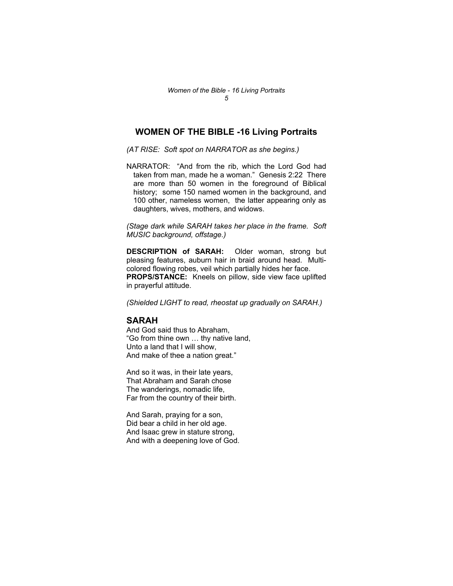## **WOMEN OF THE BIBLE -16 Living Portraits**

*(AT RISE: Soft spot on NARRATOR as she begins.)* 

NARRATOR: "And from the rib, which the Lord God had taken from man, made he a woman." Genesis 2:22 There are more than 50 women in the foreground of Biblical history; some 150 named women in the background, and 100 other, nameless women, the latter appearing only as daughters, wives, mothers, and widows.

*(Stage dark while SARAH takes her place in the frame. Soft MUSIC background, offstage.)* 

**DESCRIPTION of SARAH:** Older woman, strong but pleasing features, auburn hair in braid around head. Multicolored flowing robes, veil which partially hides her face. **PROPS/STANCE:** Kneels on pillow, side view face uplifted in prayerful attitude.

*(Shielded LIGHT to read, rheostat up gradually on SARAH.)* 

## **SARAH**

And God said thus to Abraham, "Go from thine own … thy native land, Unto a land that I will show, And make of thee a nation great."

And so it was, in their late years, That Abraham and Sarah chose The wanderings, nomadic life, Far from the country of their birth.

And Sarah, praying for a son, Did bear a child in her old age. And Isaac grew in stature strong, And with a deepening love of God.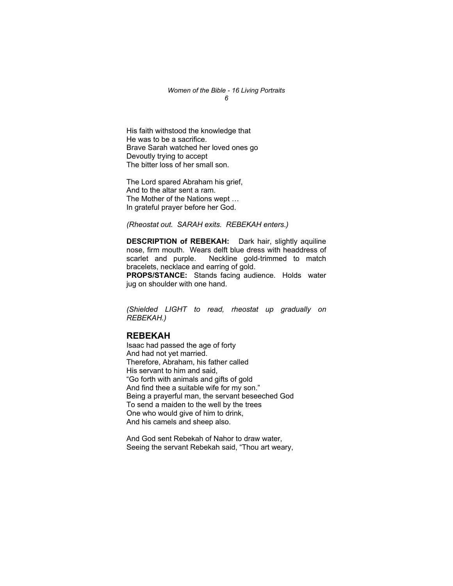#### *Women of the Bible - 16 Living Portraits 6*

His faith withstood the knowledge that He was to be a sacrifice. Brave Sarah watched her loved ones go Devoutly trying to accept The bitter loss of her small son.

The Lord spared Abraham his grief, And to the altar sent a ram. The Mother of the Nations wept … In grateful prayer before her God.

*(Rheostat out. SARAH exits. REBEKAH enters.)* 

**DESCRIPTION of REBEKAH:** Dark hair, slightly aquiline nose, firm mouth. Wears delft blue dress with headdress of scarlet and purple. Neckline gold-trimmed to match bracelets, necklace and earring of gold.

**PROPS/STANCE:** Stands facing audience. Holds water jug on shoulder with one hand.

*(Shielded LIGHT to read, rheostat up gradually on REBEKAH.)* 

## **REBEKAH**

Isaac had passed the age of forty And had not yet married. Therefore, Abraham, his father called His servant to him and said, "Go forth with animals and gifts of gold And find thee a suitable wife for my son." Being a prayerful man, the servant beseeched God To send a maiden to the well by the trees One who would give of him to drink, And his camels and sheep also.

And God sent Rebekah of Nahor to draw water, Seeing the servant Rebekah said, "Thou art weary,